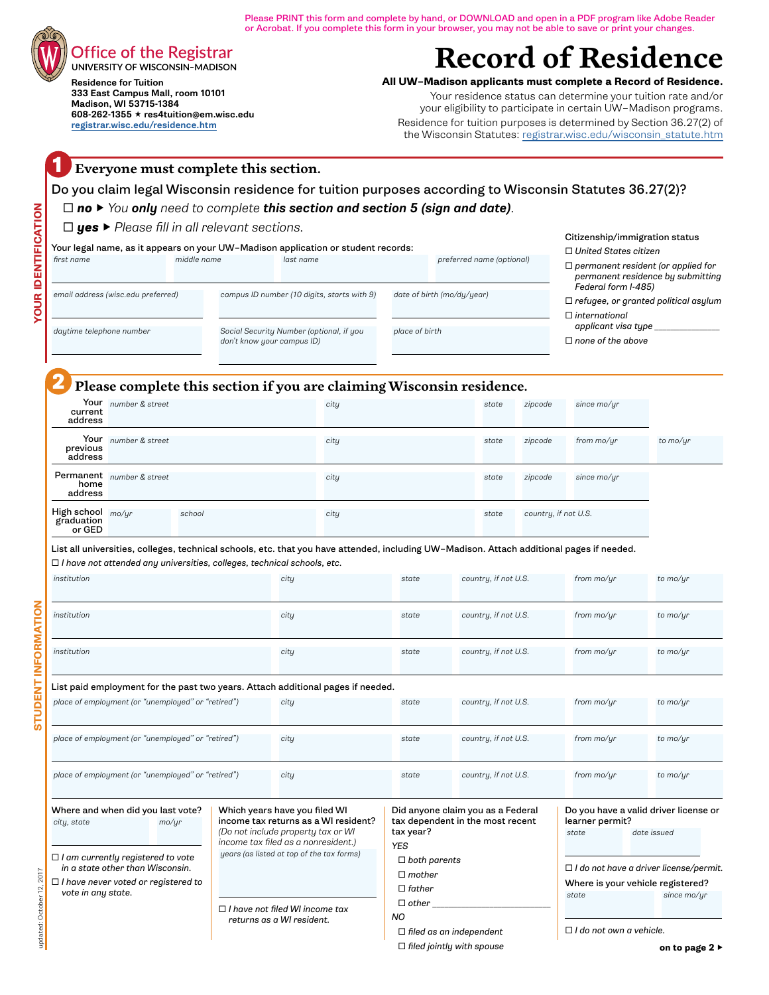Please PRINT this form and complete by hand, or DOWNLOAD and open in a PDF program like Adobe Reader or Acrobat. If you complete this form in your browser, you may not be able to save or print your changes.

## Office of the Registrar

UNIVERSITY OF WISCONSIN-MADISON Residence for Tuition 333 East Campus Mall, room 10101 Madison, WI 53715-1384 608-262-1355 res4tuition@em.wisc.edu [registrar.wisc.edu/residence.htm](http://registrar.wisc.edu/residence.htm)

# **Record of Residence**

**All UW–Madison applicants must complete a Record of Residence.**

Your residence status can determine your tuition rate and/or your eligibility to participate in certain UW–Madison programs. Residence for tuition purposes is determined by Section 36.27(2) of the Wisconsin Statutes: [registrar.wisc.edu/wisconsin\\_statute.htm](http://registrar.wisc.edu/wisconsin_statute.htm)

#### **1 Everyone must complete this section.**

Do you claim legal Wisconsin residence for tuition purposes according to Wisconsin Statutes 36.27(2)?

#### *no ▶ You only need to complete this section and section 5 (sign and date).*

#### *yes ▶ Please fill in all relevant sections.*

Your legal name, as it appears on your UW–Madison application or student records:

 *first name middle name last name preferred name (optional)* Citizenship/immigration status  *United States citizen permanent resident (or applied for permanent residence by submitting Federal form I-485) refugee, or granted political asylum international applicant visa type \_\_\_\_\_\_\_\_\_\_\_\_\_\_\_\_ none of the above*

 *daytime telephone number*

 *email address (wisc.edu preferred)*

 *Social Security Number (optional, if you don't know your campus ID)*

 *campus ID number (10 digits, starts with 9)*

 *place of birth*

 *date of birth (mo/dy/year)*

### **2 Please complete this section if you are claiming Wisconsin residence.**

|                                                         | <b>.</b>                  |        | ັ    |       |                      |              |          |
|---------------------------------------------------------|---------------------------|--------|------|-------|----------------------|--------------|----------|
| current<br>address                                      | Your number & street      |        | city | state | zipcode              | since mo/yr  |          |
| previous<br>address                                     | Your number & street      |        | city | state | zipcode              | from $mo/yr$ | to mo/yr |
| home<br>address                                         | Permanent number & street |        | city | state | zipcode              | since mo/yr  |          |
| High school $\frac{mo/yr}{pro}$<br>graduation<br>or GED |                           | school | city | state | country, if not U.S. |              |          |

List all universities, colleges, technical schools, etc. that you have attended, including UW–Madison. Attach additional pages if needed.

 *I have not attended any universities, colleges, technical schools, etc.*

| , navo not attonaca ang anivoroitico, concego, toonincal concello, c                                                                                                                                          |                                                                                                                                                                                                 |                                                                                                  |                                                                       |                                   |                                                                                                                                                           |
|---------------------------------------------------------------------------------------------------------------------------------------------------------------------------------------------------------------|-------------------------------------------------------------------------------------------------------------------------------------------------------------------------------------------------|--------------------------------------------------------------------------------------------------|-----------------------------------------------------------------------|-----------------------------------|-----------------------------------------------------------------------------------------------------------------------------------------------------------|
| institution                                                                                                                                                                                                   | city                                                                                                                                                                                            | state                                                                                            | country, if not U.S.                                                  | from mo/ur                        | to mo/ur                                                                                                                                                  |
| institution                                                                                                                                                                                                   | city                                                                                                                                                                                            | state                                                                                            | country, if not U.S.                                                  | from mo/ur                        | to mo/ur                                                                                                                                                  |
| institution                                                                                                                                                                                                   | city                                                                                                                                                                                            | state                                                                                            | country, if not U.S.                                                  | from mo/ur                        | to mo/yr                                                                                                                                                  |
| List paid employment for the past two years. Attach additional pages if needed.                                                                                                                               |                                                                                                                                                                                                 |                                                                                                  |                                                                       |                                   |                                                                                                                                                           |
| place of employment (or "unemployed" or "retired")                                                                                                                                                            | city                                                                                                                                                                                            | state                                                                                            | country, if not U.S.                                                  | from mo/ur                        | to mo/yr                                                                                                                                                  |
| place of employment (or "unemployed" or "retired")                                                                                                                                                            | city                                                                                                                                                                                            | state                                                                                            | country, if not U.S.                                                  | from mo/ur                        | to mo/ur                                                                                                                                                  |
| place of employment (or "unemployed" or "retired")                                                                                                                                                            | city                                                                                                                                                                                            | state                                                                                            | country, if not U.S.                                                  | from mo/ur                        | to mo/ur                                                                                                                                                  |
| Where and when did you last vote?<br>mo/yr<br>city, state<br>$\Box$ I am currently registered to vote<br>in a state other than Wisconsin.<br>$\Box$ I have never voted or registered to<br>vote in any state. | Which years have you filed WI<br>income tax returns as a WI resident?<br>(Do not include property tax or WI<br>income tax filed as a nonresident.)<br>years (as listed at top of the tax forms) | tax year?<br><b>YES</b><br>$\Box$ both parents<br>$\Box$ mother<br>$\Box$ father<br>$\Box$ other | Did anyone claim you as a Federal<br>tax dependent in the most recent | learner permit?<br>state<br>state | Do you have a valid driver license or<br>date issued<br>$\Box$ I do not have a driver license/permit.<br>Where is your vehicle registered?<br>since mo/yr |
|                                                                                                                                                                                                               | $\Box$ I have not filed WI income tax<br>returns as a WI resident.                                                                                                                              | <b>NO</b><br>$\Box$ filed as an independent                                                      |                                                                       | $\Box$ I do not own a vehicle.    |                                                                                                                                                           |
|                                                                                                                                                                                                               |                                                                                                                                                                                                 | $\Box$ filed jointly with spouse                                                                 |                                                                       |                                   | on to page $2 \triangleright$                                                                                                                             |

**STUDENT INFORMATION**

**STUDENT INFORMATION**